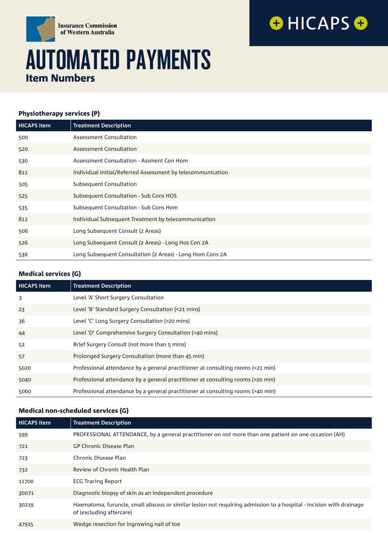

# AUTOMATED PAYMENTS Item Numbers

#### Physiotherapy services (P)

| <b>HICAPS Item</b> | <b>Treatment Description</b>                                |
|--------------------|-------------------------------------------------------------|
| 500                | Assessment Consultation                                     |
| 520                | Assessment Consultation                                     |
| 530                | Assessment Consultation - Assment Con Hom                   |
| 811                | Individual Initial/Referred Assessment by telecommunication |
| 505                | Subsequent Consultation                                     |
| 525                | Subsequent Consultation - Sub Cons HOS                      |
| 535                | Subsequent Consultation - Sub Cons Hom                      |
| 812                | Individual Subsequent Treatment by telecommunication        |
| 506                | Long Subsequent Consult (2 Areas)                           |
| 526                | Long Subsequent Consult (2 Areas) - Long Hos Con 2A         |
| 536                | Long Subsequent Consultation (2 Areas) - Long Hom Cons 2A   |

**OHICAPSO** 

## Medical services (G)

| <b>HICAPS Item</b> | <b>Treatment Description</b>                                                    |
|--------------------|---------------------------------------------------------------------------------|
| 3                  | Level 'A' Short Surgery Consultation                                            |
| 23                 | Level 'B' Standard Surgery Consultation (<21 mins)                              |
| 36                 | Level 'C' Long Surgery Consultation (>20 mins)                                  |
| 44                 | Level 'D' Comprehensive Surgery Consultation (>40 mins)                         |
| 52                 | Brief Surgery Consult (not more than 5 mins)                                    |
| 57                 | Prolonged Surgery Consultation (more than 45 min)                               |
| 5020               | Professional attendance by a general practitioner at consulting rooms (<21 min) |
| 5040               | Professional attendance by a general practitioner at consulting rooms (>20 min) |
| 5060               | Professional attendance by a general practitioner at consulting rooms (>40 min) |

#### Medical non-scheduled services (G)

| <b>HICAPS Item</b> | <b>Treatment Description</b>                                                                                                                    |
|--------------------|-------------------------------------------------------------------------------------------------------------------------------------------------|
| 599                | PROFESSIONAL ATTENDANCE, by a general practitioner on not more than one patient on one occasion (AH)                                            |
| 721                | <b>GP Chronic Disease Plan</b>                                                                                                                  |
| 723                | Chronic Disease Plan                                                                                                                            |
| 732                | Review of Chronic Health Plan                                                                                                                   |
| 11700              | <b>ECG Tracing Report</b>                                                                                                                       |
| 30071              | Diagnostic biopsy of skin as an independent procedure                                                                                           |
| 30219              | Haematoma, furuncle, small abscess or similar lesion not requiring admission to a hospital - incision with drainage<br>of (excluding aftercare) |
| 47915              | Wedge resection for ingrowing nail of toe                                                                                                       |
|                    |                                                                                                                                                 |